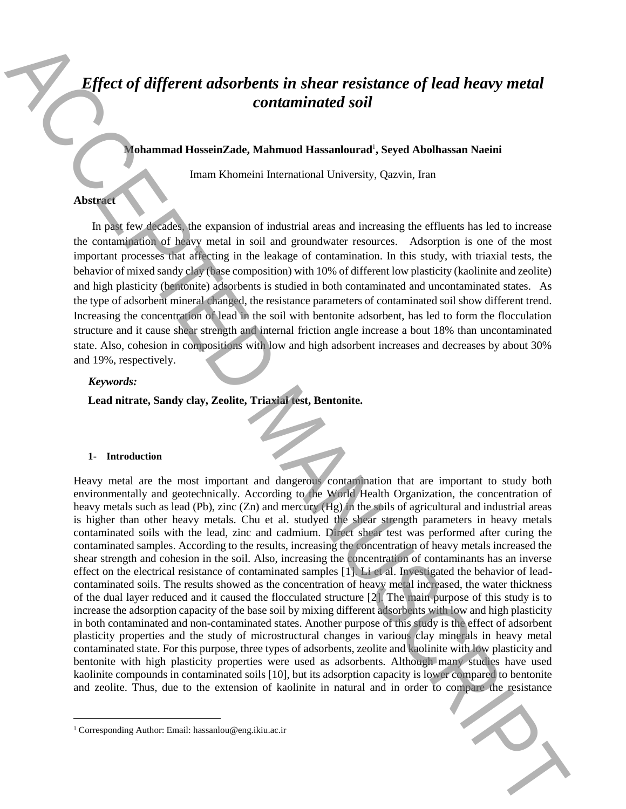# *Effect of different adsorbents in shear resistance of lead heavy metal contaminated soil*

## **Mohammad HosseinZade, Mahmuod Hassanlourad**<sup>1</sup> **, Seyed Abolhassan Naeini**

Imam Khomeini International University, Qazvin, Iran

## **Abstract**

In past few decades, the expansion of industrial areas and increasing the effluents has led to increase the contamination of heavy metal in soil and groundwater resources. Adsorption is one of the most important processes that affecting in the leakage of contamination. In this study, with triaxial tests, the behavior of mixed sandy clay (base composition) with 10% of different low plasticity (kaolinite and zeolite) and high plasticity (bentonite) adsorbents is studied in both contaminated and uncontaminated states. As the type of adsorbent mineral changed, the resistance parameters of contaminated soil show different trend. Increasing the concentration of lead in the soil with bentonite adsorbent, has led to form the flocculation structure and it cause shear strength and internal friction angle increase a bout 18% than uncontaminated state. Also, cohesion in compositions with low and high adsorbent increases and decreases by about 30% and 19%, respectively.

## *Keywords:*

**Lead nitrate, Sandy clay, Zeolite, Triaxial test, Bentonite.**

#### **1- Introduction**

 $\overline{a}$ 

Heavy metal are the most important and dangerous contamination that are important to study both environmentally and geotechnically. According to the World Health Organization, the concentration of heavy metals such as lead (Pb), zinc (Zn) and mercury (Hg) in the soils of agricultural and industrial areas is higher than other heavy metals. Chu et al. studyed the shear strength parameters in heavy metals contaminated soils with the lead, zinc and cadmium. Direct shear test was performed after curing the contaminated samples. According to the results, increasing the concentration of heavy metals increased the shear strength and cohesion in the soil. Also, increasing the concentration of contaminants has an inverse effect on the electrical resistance of contaminated samples [1]. Li et al. Investigated the behavior of leadcontaminated soils. The results showed as the concentration of heavy metal increased, the water thickness of the dual layer reduced and it caused the flocculated structure [2]. The main purpose of this study is to increase the adsorption capacity of the base soil by mixing different adsorbents with low and high plasticity in both contaminated and non-contaminated states. Another purpose of this study is the effect of adsorbent plasticity properties and the study of microstructural changes in various clay minerals in heavy metal contaminated state. For this purpose, three types of adsorbents, zeolite and kaolinite with low plasticity and bentonite with high plasticity properties were used as adsorbents. Although many studies have used kaolinite compounds in contaminated soils [10], but its adsorption capacity is lower compared to bentonite and zeolite. Thus, due to the extension of kaolinite in natural and in order to compare the resistance **Effect of different adsorbents in shear resistance of lead heavy metal<br>containment Hossinatades Manuma Hossinatades Side and the standard New York and<br>has been strong and the standard Manuscript Side and the standard Sid** 

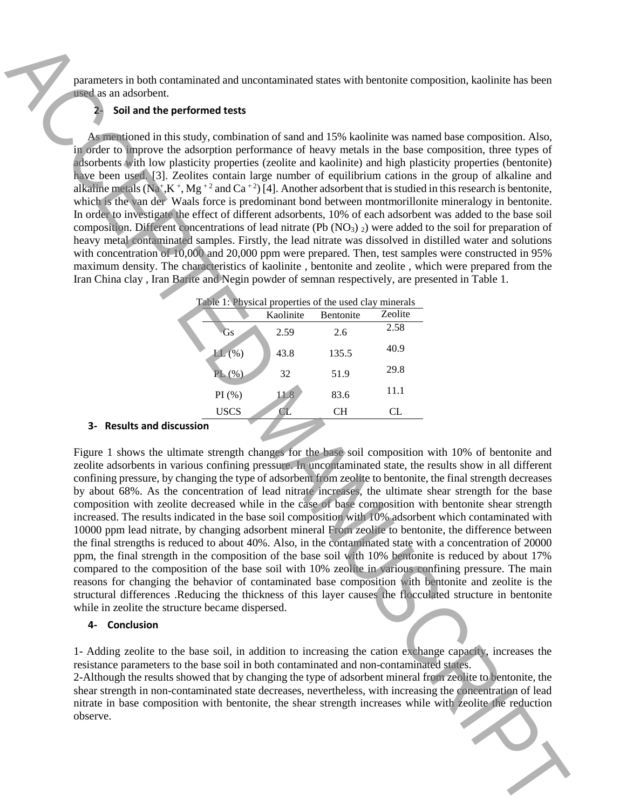parameters in both contaminated and uncontaminated states with bentonite composition, kaolinite has been used as an adsorbent.

# **2- Soil and the performed tests**

As mentioned in this study, combination of sand and 15% kaolinite was named base composition. Also, in order to improve the adsorption performance of heavy metals in the base composition, three types of adsorbents with low plasticity properties (zeolite and kaolinite) and high plasticity properties (bentonite) have been used. [3]. Zeolites contain large number of equilibrium cations in the group of alkaline and alkaline metals (Na<sup>+</sup>,K<sup>+</sup>, Mg<sup>+2</sup> and Ca<sup>+2</sup>) [4]. Another adsorbent that is studied in this research is bentonite, which is the van der Waals force is predominant bond between montmorillonite mineralogy in bentonite. In order to investigate the effect of different adsorbents, 10% of each adsorbent was added to the base soil composition. Different concentrations of lead nitrate (Pb  $(NO<sub>3</sub>)$ ) were added to the soil for preparation of heavy metal contaminated samples. Firstly, the lead nitrate was dissolved in distilled water and solutions with concentration of 10,000 and 20,000 ppm were prepared. Then, test samples were constructed in 95% maximum density. The characteristics of kaolinite , bentonite and zeolite , which were prepared from the Iran China clay , Iran Barite and Negin powder of semnan respectively, are presented in Table 1.

| Table 1: Physical properties of the used clay minerals |           |           |         |
|--------------------------------------------------------|-----------|-----------|---------|
|                                                        | Kaolinite | Bentonite | Zeolite |
| Gs                                                     | 2.59      | 2.6       | 2.58    |
| $LL$ $(\%$                                             | 43.8      | 135.5     | 40.9    |
| PL(%)                                                  | 32        | 51.9      | 29.8    |
| PI(%)                                                  | 11.8      | 83.6      | 11.1    |
| <b>USCS</b>                                            |           | CН        | CL.     |
|                                                        |           |           |         |

# **3- Results and discussion**

Figure 1 shows the ultimate strength changes for the base soil composition with 10% of bentonite and zeolite adsorbents in various confining pressure. In uncontaminated state, the results show in all different confining pressure, by changing the type of adsorbent from zeolite to bentonite, the final strength decreases by about 68%. As the concentration of lead nitrate increases, the ultimate shear strength for the base composition with zeolite decreased while in the case of base composition with bentonite shear strength increased. The results indicated in the base soil composition with 10% adsorbent which contaminated with 10000 ppm lead nitrate, by changing adsorbent mineral From zeolite to bentonite, the difference between the final strengths is reduced to about 40%. Also, in the contaminated state with a concentration of 20000 ppm, the final strength in the composition of the base soil with 10% bentonite is reduced by about 17% compared to the composition of the base soil with 10% zeolite in various confining pressure. The main reasons for changing the behavior of contaminated base composition with bentonite and zeolite is the structural differences .Reducing the thickness of this layer causes the flocculated structure in bentonite while in zeolite the structure became dispersed. The measure is both content<br>that detection that the content metals and excess of the breaches composition. Notice<br>the measure of the measure of the metals and the metals of the metals and the composition. Also, the metals

# **4- Conclusion**

1- Adding zeolite to the base soil, in addition to increasing the cation exchange capacity, increases the resistance parameters to the base soil in both contaminated and non-contaminated states.

2-Although the results showed that by changing the type of adsorbent mineral from zeolite to bentonite, the shear strength in non-contaminated state decreases, nevertheless, with increasing the concentration of lead nitrate in base composition with bentonite, the shear strength increases while with zeolite the reduction